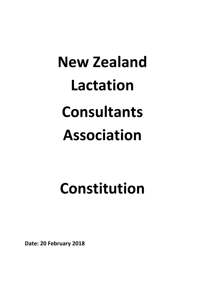# **New Zealand Lactation Consultants Association**

# **Constitution**

**Date: 20 February 2018**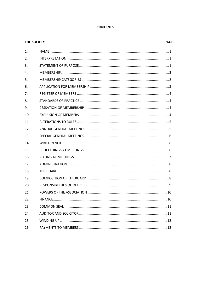# **CONTENTS**

| THE SOCIETY |
|-------------|
|-------------|

# **PAGE**

| $\mathbf{1}$ . |  |
|----------------|--|
| 2.             |  |
| 3.             |  |
| 4.             |  |
| 5.             |  |
| 6.             |  |
| 7.             |  |
| 8.             |  |
| 9.             |  |
| 10.            |  |
| 11.            |  |
| 12.            |  |
| 13.            |  |
|                |  |
| 14.            |  |
| 15.            |  |
| 16.            |  |
| 17.            |  |
| 18.            |  |
| 19.            |  |
| 20.            |  |
| 21.            |  |
| 22.            |  |
| 23.            |  |
| 24.            |  |
| 25.            |  |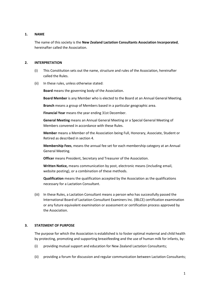# **1. NAME**

The name of this society is the **New Zealand Lactation Consultants Association Incorporated**, hereinafter called the Association.

# **2. INTERPRETATION**

- (i) This Constitution sets out the name, structure and rules of the Association, hereinafter called the Rules.
- (ii) In these rules, unless otherwise stated:

**Board** means the governing body of the Association.

**Board Member** is any Member who is elected to the Board at an Annual General Meeting.

**Branch** means a group of Members based in a particular geographic area.

**Financial Year** means the year ending 31st December.

**General Meeting** means an Annual General Meeting or a Special General Meeting of Members convened in accordance with these Rules.

**Member** means a Member of the Association being Full, Honorary, Associate, Student or Retired as described in section 4.

**Membership Fees**, means the annual fee set for each membership category at an Annual General Meeting.

**Officer** means President, Secretary and Treasurer of the Association.

**Written Notice,** means communication by post, electronic means (including email, website posting), or a combination of these methods.

**Qualification** means the qualification accepted by the Association as the qualifications necessary for a Lactation Consultant.

(iii) In these Rules, a Lactation Consultant means a person who has successfully passed the International Board of Lactation Consultant Examiners Inc. (IBLCE) certification examination or any future equivalent examination or assessment or certification process approved by the Association.

# **3. STATEMENT OF PURPOSE**

The purpose for which the Association is established is to foster optimal maternal and child health by protecting, promoting and supporting breastfeeding and the use of human milk for infants, by:

- (i) providing mutual support and education for New Zealand Lactation Consultants;
- (ii) providing a forum for discussion and regular communication between Lactation Consultants;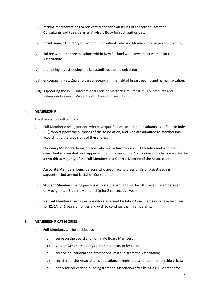- (iii) making representations to relevant authorities on issues of concern to Lactation Consultants and to serve as an Advisory Body for such authorities;
- (iv) maintaining a Directory of Lactation Consultants who are Members and in private practice;
- (v) liaising with other organisations within New Zealand who have objectives similar to the Association;
- (vi) promoting breastfeeding and breastmilk as the biological norm;
- (vii) encouraging New Zealand-based research in the field of breastfeeding and human lactation;
- (viii) supporting the WHO International Code of Marketing of Breast-Milk Substitutes and subsequent relevant World Health Assembly resolutions.

# **4. MEMBERSHIP**

The Association will consist of:

- (i) **Full Members**: being persons who have qualified as Lactation Consultants as defined in Rule 2(ii); who support the purposes of the Association; and who are admitted to membership according to the provisions of these rules;
- (ii) **Honorary Members**: being persons who are or have been a Full Member and who have consistently promoted and supported the purposes of the Association and who are elected by a two thirds majority of the Full Members at a General Meeting of the Association;
- (iii) **Associate Members**: being persons who are clinical professionals or breastfeeding supporters but are not Lactation Consultants;
- (iv) **Student Members**: being persons who are preparing to sit the IBLCE exam. Members can only be granted Student Membership for 2 consecutive years;
- (v) **Retired Members**: being persons who are retired Lactation Consultants who have belonged to NZLCA for 3 years or longer and wish to continue their membership.

# **5. MEMBERSHIP CATEGORIES**

- (i) **Full Members** will be entitled to:
	- a) serve on the Board and nominate Board Members ;
	- b) vote at General Meetings either in person, or by ballot;
	- c) receive educational and promotional material from the Association;
	- d) register for the Association's educational events at discounted membership prices;
	- e) apply for educational funding from the Association after being a Full Member for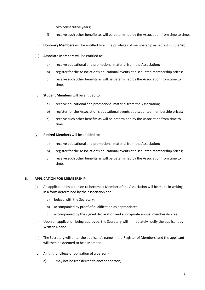two consecutive years;

- f) receive such other benefits as will be determined by the Association from time to time.
- (ii) **Honorary Members** will be entitled to all the privileges of membership as set out in Rule 5(i).
- (iii) **Associate Members** will be entitled to:
	- a) receive educational and promotional material from the Association;
	- b) register for the Association's educational events at discounted membership prices;
	- c) receive such other benefits as will be determined by the Association from time to time.
- (iv) **Student Members** will be entitled to:
	- a) receive educational and promotional material from the Association;
	- b) register for the Association's educational events at discounted membership prices;
	- c) receive such other benefits as will be determined by the Association from time to time.
- (v) **Retired Members** will be entitled to:
	- a) receive educational and promotional material from the Association;
	- b) register for the Association's educational events at discounted membership prices;
	- c) receive such other benefits as will be determined by the Association from time to time.

# **6. APPLICATION FOR MEMBERSHIP**

- (i) An application by a person to become a Member of the Association will be made in writing in a form determined by the association and
	- a) lodged with the Secretary;
	- b) accompanied by proof of qualification as appropriate;
	- c) accompanied by the signed declaration and appropriate annual membership fee.
- (ii) Upon an application being approved, the Secretary will immediately notify the applicant by Written Notice.
- (iii) The Secretary will enter the applicant's name in the Register of Members, and the applicant will then be deemed to be a Member.
- (iv) A right, privilege or obligation of a person
	- a) may not be transferred to another person;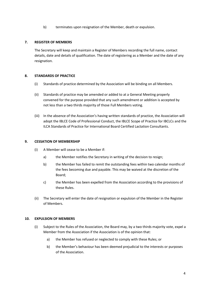b) terminates upon resignation of the Member, death or expulsion.

# **7. REGISTER OF MEMBERS**

The Secretary will keep and maintain a Register of Members recording the full name, contact details, date and details of qualification. The date of registering as a Member and the date of any resignation.

# **8. STANDARDS OF PRACTICE**

- (i) Standards of practice determined by the Association will be binding on all Members.
- (ii) Standards of practice may be amended or added to at a General Meeting properly convened for the purpose provided that any such amendment or addition is accepted by not less than a two thirds majority of those Full Members voting.
- (iii) In the absence of the Association's having written standards of practice, the Association will adopt the IBLCE Code of Professional Conduct, the IBLCE Scope of Practice for IBCLCs and the ILCA Standards of Practice for International Board Certified Lactation Consultants.

# **9. CESSATION OF MEMBERSHIP**

- (i) A Member will cease to be a Member if:
	- a) the Member notifies the Secretary in writing of the decision to resign;
	- b) the Member has failed to remit the outstanding fees within two calendar months of the fees becoming due and payable. This may be waived at the discretion of the Board;
	- c) the Member has been expelled from the Association according to the provisions of these Rules.
- (ii) The Secretary will enter the date of resignation or expulsion of the Member in the Register of Members.

# **10. EXPULSION OF MEMBERS**

- (i) Subject to the Rules of the Association, the Board may, by a two thirds majority vote, expel a Member from the Association if the Association is of the opinion that:
	- a) the Member has refused or neglected to comply with these Rules; or
	- b) the Member's behaviour has been deemed prejudicial to the interests or purposes of the Association.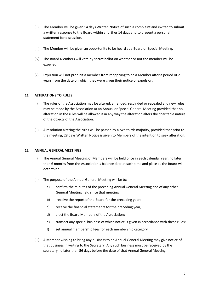- (ii) The Member will be given 14 days Written Notice of such a complaint and invited to submit a written response to the Board within a further 14 days and to present a personal statement for discussion.
- (iii) The Member will be given an opportunity to be heard at a Board or Special Meeting.
- (iv) The Board Members will vote by secret ballot on whether or not the member will be expelled.
- (v) Expulsion will not prohibit a member from reapplying to be a Member after a period of 2 years from the date on which they were given their notice of expulsion.

# **11. ALTERATIONS TO RULES**

- (i) The rules of the Association may be altered, amended, rescinded or repealed and new rules may be made by the Association at an Annual or Special General Meeting provided that no alteration in the rules will be allowed if in any way the alteration alters the charitable nature of the objects of the Association.
- (ii) A resolution altering the rules will be passed by a two thirds majority, provided that prior to the meeting, 28 days Written Notice is given to Members of the intention to seek alteration.

# **12. ANNUAL GENERAL MEETINGS**

- (i) The Annual General Meeting of Members will be held once in each calendar year, no later than 6 months from the Association's balance date at such time and place as the Board will determine.
- (ii) The purpose of the Annual General Meeting will be to:
	- a) confirm the minutes of the preceding Annual General Meeting and of any other General Meeting held since that meeting;
	- b) receive the report of the Board for the preceding year;
	- c) receive the financial statements for the preceding year;
	- d) elect the Board Members of the Association;
	- e) transact any special business of which notice is given in accordance with these rules;
	- f) set annual membership fees for each membership category.
- (iii) A Member wishing to bring any business to an Annual General Meeting may give notice of that business in writing to the Secretary. Any such business must be received by the secretary no later than 56 days before the date of that Annual General Meeting.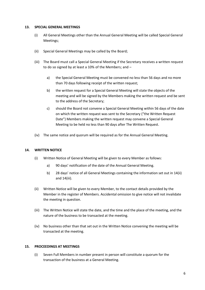#### **13. SPECIAL GENERAL MEETINGS**

- (i) All General Meetings other than the Annual General Meeting will be called Special General Meetings;
- (ii) Special General Meetings may be called by the Board;
- (iii) The Board must call a Special General Meeting if the Secretary receives a written request to do so signed by at least a 10% of the Members; and –
	- a) the Special General Meeting must be convened no less than 56 days and no more than 70 days following receipt of the written request;
	- b) the written request for a Special General Meeting will state the objects of the meeting and will be signed by the Members making the written request and be sent to the address of the Secretary;
	- c) should the Board not convene a Special General Meeting within 56 days of the date on which the written request was sent to the Secretary ("the Written Request Date") Members making the written request may convene a Special General Meeting to be held no less than 90 days after The Written Request.
- (iv) The same notice and quorum will be required as for the Annual General Meeting.

# **14. WRITTEN NOTICE**

- (i) Written Notice of General Meeting will be given to every Member as follows:
	- a) 90 days' notification of the date of the Annual General Meeting.
	- b) 28 days' notice of all General Meetings containing the information set out in 14(ii) and 14(iii).
- (ii) Written Notice will be given to every Member, to the contact details provided by the Member in the register of Members. Accidental omission to give notice will not invalidate the meeting in question.
- (iii) The Written Notice will state the date, and the time and the place of the meeting, and the nature of the business to be transacted at the meeting.
- (iv) No business other than that set out in the Written Notice convening the meeting will be transacted at the meeting.

# **15. PROCEEDINGS AT MEETINGS**

(i) Seven Full Members in number present in person will constitute a quorum for the transaction of the business at a General Meeting.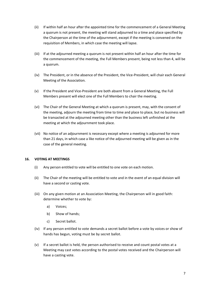- (ii) If within half an hour after the appointed time for the commencement of a General Meeting a quorum is not present, the meeting will stand adjourned to a time and place specified by the Chairperson at the time of the adjournment, except if the meeting is convened on the requisition of Members, in which case the meeting will lapse.
- (iii) If at the adjourned meeting a quorum is not present within half an hour after the time for the commencement of the meeting, the Full Members present, being not less than 4, will be a quorum.
- (iv) The President, or in the absence of the President, the Vice-President, will chair each General Meeting of the Association.
- (v) If the President and Vice-President are both absent from a General Meeting, the Full Members present will elect one of the Full Members to chair the meeting.
- (vi) The Chair of the General Meeting at which a quorum is present, may, with the consent of the meeting, adjourn the meeting from time to time and place to place, but no business will be transacted at the adjourned meeting other than the business left unfinished at the meeting at which the adjournment took place.
- (vii) No notice of an adjournment is necessary except where a meeting is adjourned for more than 21 days, in which case a like notice of the adjourned meeting will be given as in the case of the general meeting.

# **16. VOTING AT MEETINGS**

- (i) Any person entitled to vote will be entitled to one vote on each motion.
- (ii) The Chair of the meeting will be entitled to vote and in the event of an equal division will have a second or casting vote.
- (iii) On any given motion at an Association Meeting, the Chairperson will in good faith: determine whether to vote by:
	- a) Voices;
	- b) Show of hands;
	- c) Secret ballot.
- (iv) If any person entitled to vote demands a secret ballot before a vote by voices or show of hands has begun, voting must be by secret ballot.
- (v) If a secret ballot is held, the person authorised to receive and count postal votes at a Meeting may cast votes according to the postal votes received and the Chairperson will have a casting vote.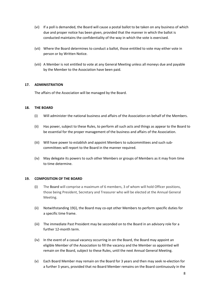- (vi) If a poll is demanded, the Board will cause a postal ballot to be taken on any business of which due and proper notice has been given, provided that the manner in which the ballot is conducted maintains the confidentiality of the way in which the vote is exercised.
- (vii) Where the Board determines to conduct a ballot, those entitled to vote may either vote in person or by Written Notice.
- (viii) A Member is not entitled to vote at any General Meeting unless all moneys due and payable by the Member to the Association have been paid.

# **17. ADMINISTRATION**

The affairs of the Association will be managed by the Board.

# **18. THE BOARD**

- (i) Will administer the national business and affairs of the Association on behalf of the Members.
- (ii) Has power, subject to these Rules, to perform all such acts and things as appear to the Board to be essential for the proper management of the business and affairs of the Association.
- (iii) Will have power to establish and appoint Members to subcommittees and such subcommittees will report to the Board in the manner required.
- (iv) May delegate its powers to such other Members or groups of Members as it may from time to time determine.

# **19. COMPOSITION OF THE BOARD**

- (i) The Board will comprise a maximum of 6 members, 3 of whom will hold Officer positions, those being President, Secretary and Treasurer who will be elected at the Annual General Meeting.
- (ii) Notwithstanding 19(i), the Board may co-opt other Members to perform specific duties for a specific time frame.
- (iii) The immediate Past President may be seconded on to the Board in an advisory role for a further 12-month term.
- (iv) In the event of a casual vacancy occurring in on the Board, the Board may appoint an eligible Member of the Association to fill the vacancy and the Member so appointed will remain on the Board, subject to these Rules, until the next Annual General Meeting.
- (v) Each Board Member may remain on the Board for 3 years and then may seek re-election for a further 3 years, provided that no Board Member remains on the Board continuously in the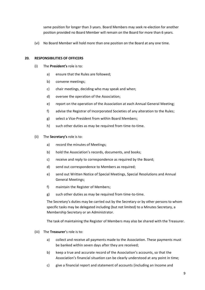same position for longer than 3 years. Board Members may seek re-election for another position provided no Board Member will remain on the Board for more than 6 years.

(vi) No Board Member will hold more than one position on the Board at any one time.

# **20. RESPONSIBILITIES OF OFFICERS**

- (i) The **President's** role is to:
	- a) ensure that the Rules are followed;
	- b) convene meetings;
	- c) chair meetings, deciding who may speak and when;
	- d) oversee the operation of the Association;
	- e) report on the operation of the Association at each Annual General Meeting;
	- f) advise the Registrar of Incorporated Societies of any alteration to the Rules;
	- g) select a Vice-President from within Board Members;
	- h) such other duties as may be required from time-to-time.
- (ii) The **Secretary's** role is to:
	- a) record the minutes of Meetings;
	- b) hold the Association's records, documents, and books;
	- c) receive and reply to correspondence as required by the Board;
	- d) send out correspondence to Members as required;
	- e) send out Written Notice of Special Meetings, Special Resolutions and Annual General Meetings;
	- f) maintain the Register of Members;
	- g) such other duties as may be required from time-to-time.

The Secretary's duties may be carried out by the Secretary or by other persons to whom specific tasks may be delegated including (but not limited) to a Minutes Secretary, a Membership Secretary or an Administrator.

The task of maintaining the Register of Members may also be shared with the Treasurer.

- (iii) The **Treasurer**'s role is to:
	- a) collect and receive all payments made to the Association. These payments must be banked within seven days after they are received;
	- b) keep a true and accurate record of the Association's accounts, so that the Association's financial situation can be clearly understood at any point in time;
	- c) give a financial report and statement of accounts (including an Income and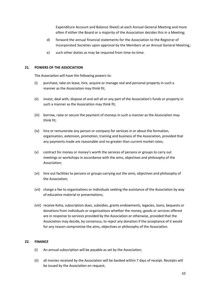Expenditure Account and Balance Sheet) at each Annual General Meeting and more often if either the Board or a majority of the Association decides this in a Meeting;

- d) forward the annual financial statements for the Association to the Registrar of Incorporated Societies upon approval by the Members at an Annual General Meeting;
- e) such other duties as may be required from time-to-time.

# **21. POWERS OF THE ASSOCIATION**

The Association will have the following powers to:

- (i) purchase, take on lease, hire, acquire or manage real and personal property in such a manner as the Association may think fit;
- (ii) invest, deal with, dispose of and sell all or any part of the Association's funds or property in such a manner as the Association may think fit;
- (iii) borrow, raise or secure the payment of moneys in such a manner as the Association may think fit;
- (iv) hire or remunerate any person or company for services in or about the formation, organisation, extension, promotion, training and business of the Association, provided that any payments made are reasonable and no greater than current market rates;
- (v) contract for money or money's worth the services of persons or groups to carry out meetings or workshops in accordance with the aims, objectives and philosophy of the Association;
- (vi) hire out facilities to persons or groups carrying out the aims, objectives and philosophy of the Association;
- (vii) charge a fee to organisations or individuals seeking the assistance of the Association by way of educative material or presentations;
- (viii) receive Koha, subscription dues, subsidies, grants endowments, legacies, loans, bequests or donations from individuals or organisations whether the money, goods or services offered are in response to services provided by the Association or otherwise, provided that the Association may decide, by consensus, to reject any donation if the acceptance of it would for any reason compromise the aims, objectives or philosophy of the Association.

# **22. FINANCE**

- (i) An annual subscription will be payable as set by the Association;
- (ii) all monies received by the Association will be banked within 7 days of receipt. Receipts will be issued by the Association on request;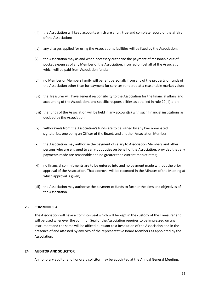- (iii) the Association will keep accounts which are a full, true and complete record of the affairs of the Association;
- (iv) any charges applied for using the Association's facilities will be fixed by the Association;
- (v) the Association may as and when necessary authorise the payment of reasonable out of pocket expenses of any Member of the Association, incurred on behalf of the Association, which will be paid from Association funds;
- (vi) no Member or Members family will benefit personally from any of the property or funds of the Association other than for payment for services rendered at a reasonable market value;
- (vii) the Treasurer will have general responsibility to the Association for the financial affairs and accounting of the Association, and specific responsibilities as detailed in rule 20(iii)(a-d);
- (viii) the funds of the Association will be held in any account(s) with such financial institutions as decided by the Association;
- (ix) withdrawals from the Association's funds are to be signed by any two nominated signatories, one being an Officer of the Board, and another Association Member;
- (x) the Association may authorise the payment of salary to Association Members and other persons who are engaged to carry out duties on behalf of the Association, provided that any payments made are reasonable and no greater than current market rates;
- (xi) no financial commitments are to be entered into and no payment made without the prior approval of the Association. That approval will be recorded in the Minutes of the Meeting at which approval is given;
- (xii) the Association may authorise the payment of funds to further the aims and objectives of the Association.

# **23. COMMON SEAL**

The Association will have a Common Seal which will be kept in the custody of the Treasurer and will be used whenever the common Seal of the Association requires to be impressed on any instrument and the same will be affixed pursuant to a Resolution of the Association and in the presence of and attested by any two of the representative Board Members as appointed by the Association.

# **24. AUDITOR AND SOLICITOR**

An honorary auditor and honorary solicitor may be appointed at the Annual General Meeting.